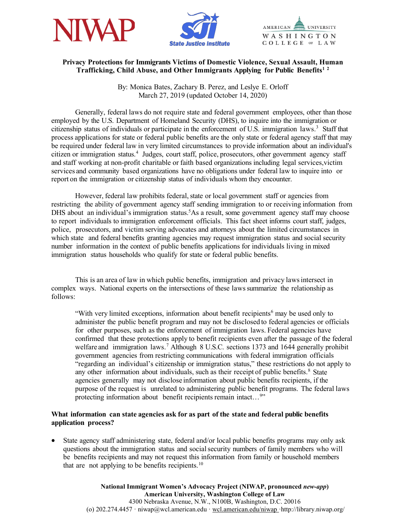



AMERICAN **UNIVERSITY** WASHINGTON COLLEGE OF LAW

## **Privacy Protections for Immigrants Victims of Domestic Violence, Sexual Assault, Human Trafficking, Child Abuse, and Other Immigrants Applying for Public Benefits[1](#page-2-0) [2](#page-2-1)**

By: Monica Bates, Zachary B. Perez, and Leslye E. Orloff March 27, 2019 (updated October 14, 2020)

Generally, federal laws do not require state and federal government employees, other than those employed by the U.S. Department of Homeland Security (DHS), to inquire into the immigration or citizenship status of individuals or participate in the enforcement of U.S. immigration laws.<sup>[3](#page-2-2)</sup> Staff that process applications for state or federal public benefits are the only state or federal agency staff that may be required under federal law in very limited circumstances to provide information about an individual's citizen or immigration status. [4](#page-2-3) Judges, court staff, police, prosecutors, other government agency staff and staff working at non-profit charitable or faith based organizations including legal services,victim services and community based organizations have no obligations under federal law to inquire into or report on the immigration or citizenship status of individuals whom they encounter.

However, federal law prohibits federal, state or local government staff or agencies from restricting the ability of government agency staff sending immigration to or receiving information from DHS about an individual's immigration status.<sup>[5](#page-2-4)</sup>As a result, some government agency staff may choose to report individuals to immigration enforcement officials. This fact sheet informs court staff, judges, police, prosecutors, and victim serving advocates and attorneys about the limited circumstances in which state and federal benefits granting agencies may request immigration status and social security number information in the context of public benefits applications for individuals living in mixed immigration status households who qualify for state or federal public benefits.

This is an area of law in which public benefits, immigration and privacy lawsintersect in complex ways. National experts on the intersections of these lawssummarize the relationship as follows:

"With very limited exceptions, information about benefit recipients<sup>[6](#page-2-5)</sup> may be used only to administer the public benefit program and may not be disclosed to federal agencies or officials for other purposes, such as the enforcement of immigration laws. Federal agencies have confirmed that these protections apply to benefit recipients even after the passage of the federal welfare and immigration laws.<sup>[7](#page-3-0)</sup> Although 8 U.S.C. sections 1373 and 1644 generally prohibit government agencies from restricting communications with federal immigration officials "regarding an individual's citizenship or immigration status," these restrictions do not apply to any other information about individuals, such as their receipt of public benefits.<sup>[8](#page-3-1)</sup> State agencies generally may not disclose information about public benefits recipients, if the purpose of the request is unrelated to administering public benefit programs. The federal laws protecting information about benefit recipients remain intact...<sup>[9](#page-3-2)</sup>"

## **What information can state agencies ask for as part of the state and federal public benefits application process?**

• State agency staff administering state, federal and/or local public benefits programs may only ask questions about the immigration status and socialsecurity numbers of family members who will be benefits recipients and may not request this information from family or household members that are not applying to be benefits recipients.<sup>[10](#page-3-3)</sup>

> **National Immigrant Women's Advocacy Project (NIWAP, pronounced** *new-app***) American University, Washington College of Law** 4300 Nebraska Avenue, N.W., N100B, Washington, D.C. 20016 (o) 202.274.4457 · niwap@wcl.american.edu · wcl.american.edu/niwap ·http://library.niwap.org/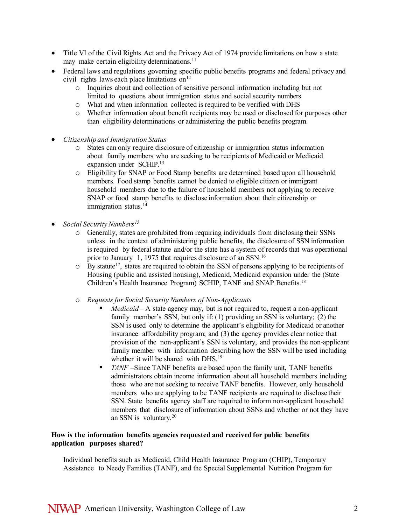- Title VI of the Civil Rights Act and the Privacy Act of 1974 provide limitations on how a state may make certain eligibility determinations.<sup>11</sup>
- Federal laws and regulations governing specific public benefits programs and federal privacy and civil rights laws each place limitations on<sup>[12](#page-3-5)</sup>
	- o Inquiries about and collection of sensitive personal information including but not limited to questions about immigration status and social security numbers
	- What and when information collected is required to be verified with DHS
	- o Whether information about benefit recipients may be used or disclosed for purposes other than eligibility determinations or administering the public benefits program.
- *Citizenship and Immigration Status*
	- o States can only require disclosure of citizenship or immigration status information about family members who are seeking to be recipients of Medicaid or Medicaid expansion under SCHIP.[13](#page-3-6)
	- o Eligibility for SNAP or Food Stamp benefits are determined based upon all household members. Food stamp benefits cannot be denied to eligible citizen or immigrant household members due to the failure of household members not applying to receive SNAP or food stamp benefits to disclose information about their citizenship or immigration status.<sup>[14](#page-3-7)</sup>
- *Social Security Numbers*<sup>[15](#page-3-8)</sup>
	- o Generally, states are prohibited from requiring individuals from disclosing their SSNs unless in the context of administering public benefits, the disclosure of SSN information is required by federal statute and/or the state has a system of records that was operational prior to January 1, 1975 that requires disclosure of an SSN.[16](#page-4-0)
	- $\circ$  By statute<sup>17</sup>, states are required to obtain the SSN of persons applying to be recipients of Housing (public and assisted housing), Medicaid, Medicaid expansion under the (State Children's Health Insurance Program) SCHIP, TANF and SNAP Benefits[.18](#page-4-2)
	- o *Requests for Social Security Numbers of Non-Applicants*
		- *Medicaid*  A state agency may, but is not required to, request a non-applicant family member's SSN, but only if: (1) providing an SSN is voluntary; (2) the SSN is used only to determine the applicant's eligibility for Medicaid or another insurance affordability program; and (3) the agency provides clear notice that provision of the non-applicant's SSN is voluntary, and provides the non-applicant family member with information describing how the SSN will be used including whether it will be shared with DHS.<sup>19</sup>
		- *TANF* –Since TANF benefits are based upon the family unit, TANF benefits administrators obtain income information about all household members including those who are not seeking to receive TANF benefits. However, only household members who are applying to be TANF recipients are required to disclose their SSN. State benefits agency staff are required to inform non-applicant household members that disclosure of information about SSNs and whether or not they have an SSN is voluntary.[20](#page-4-4)

## **How is the information benefits agencies requested and received for public benefits application purposes shared?**

Individual benefits such as Medicaid, Child Health Insurance Program (CHIP), Temporary Assistance to Needy Families (TANF), and the Special Supplemental Nutrition Program for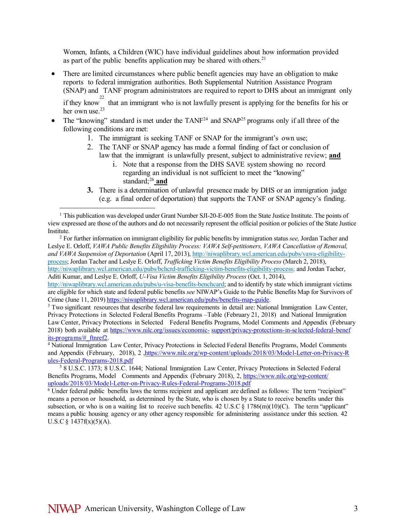Women, Infants, a Children (WIC) have individual guidelines about how information provided as part of the public benefits application may be shared with others.<sup>21</sup>

- There are limited circumstances where public benefit agencies may have an obligation to make reports to federal immigration authorities. Both Supplemental Nutrition Assistance Program (SNAP) and TANF program administrators are required to report to DHS about an immigrant only if they know<sup>[22](#page-4-6)</sup> that an immigrant who is not lawfully present is applying for the benefits for his or her own use.[23](#page-4-7)
- The "knowing" standard is met under the  $TANF^{24}$  $TANF^{24}$  $TANF^{24}$  and  $SNAP^{25}$  programs only if all three of the following conditions are met:
	- 1. The immigrant is seeking TANF or SNAP for the immigrant's own use;
	- 2. The TANF or SNAP agency has made a formal finding of fact or conclusion of law that the immigrant is unlawfully present, subject to administrative review; **and**
		- i. Note that a response from the DHS SAVE system showing no record regarding an individual is not sufficient to meet the "knowing" standard;<sup>26</sup> and
	- **3.** There is a determination of unlawful presence made by DHS or an immigration judge (e.g. a final order of deportation) that supports the TANF or SNAP agency's finding.

<span id="page-2-1"></span>Leslye E. Orloff, *VAWA Public Benefits Eligibility Process: VAWA Self-petitioners, VAWA Cancellation of Removal, and VAWA Suspension of Deportation* (April 17, 2013), [http://niwaplibrary.wcl.american.edu/pubs/vawa-eligibility](http://niwaplibrary.wcl.american.edu/pubs/vawa-eligibility-process)[process;](http://niwaplibrary.wcl.american.edu/pubs/vawa-eligibility-process) Jordan Tacher and Leslye E. Orloff, *Trafficking Victim Benefits Eligibility Process* (March 2, 2018), [http://niwaplibrary.wcl.american.edu/pubs/bchcrd-trafficking-victim-benefits-eligibility-process;](http://niwaplibrary.wcl.american.edu/pubs/bchcrd-trafficking-victim-benefits-eligibility-process) and Jordan Tacher, Aditi Kumar, and Leslye E. Orloff, *U-Visa Victim Benefits Eligibility Process* (Oct. 1, 2014),

[http://niwaplibrary.wcl.american.edu/pubs/u-visa-benefits-benchcard;](http://niwaplibrary.wcl.american.edu/pubs/u-visa-benefits-benchcard) and to identify by state which immigrant victims are eligible for which state and federal public benefits *see* NIWAP's Guide to the Public Benefits Map for Survivors of Crime (June 11, 2019) [https://niwaplibrary.wcl.american.edu/pubs/benefits-map-guide.](https://niwaplibrary.wcl.american.edu/pubs/benefits-map-guide)<br><sup>3</sup> Two significant resources that describe federal law requirements in detail are: National Immigration Law Center,

<span id="page-2-2"></span>Privacy Protections in Selected Federal Benefits Programs –Table (February 21, 2018) and National Immigration Law Center, Privacy Protections in Selected Federal Benefits Programs, Model Comments and Appendix (February 2018) both available at [https://www.nilc.org/issues/economic-](https://www.nilc.org/issues/economic-support/privacy-protections-in-selected-federal-benefits-programs/#_ftnref2) [support/privacy-protections- in-selected-federal- benef](https://www.nilc.org/issues/economic-support/privacy-protections-in-selected-federal-benefits-programs/#_ftnref2) [its-programs/#\\_ftnref2.](https://www.nilc.org/issues/economic-support/privacy-protections-in-selected-federal-benefits-programs/#_ftnref2) 4 National Immigration Law Center, Privacy Protections in Selected Federal Benefits Programs, Model Comments

<span id="page-2-3"></span>and Appendix (February, 2018), 2 ,https://www.nilc.org/wp-content/uploads/2018/03/Model-Letter-on-Privacy-R [ules-Federal-Programs-2018.pdf](https://www.nilc.org/wp-content/uploads/2018/03/Model-Letter-on-Privacy-Rules-Federal-Programs-2018.pdf)

<span id="page-2-0"></span><sup>&</sup>lt;sup>1</sup> This publication was developed under Grant Number SJI-20-E-005 from the State Justice Institute. The points of view expressed are those of the authors and do not necessarily represent the official position or policies of the State Justice Institute. 2 For further information on immigrant eligibility for public benefits by immigration status *see,* Jordan Tacher and

<span id="page-2-4"></span><sup>5</sup> 8 U.S.C. 1373; 8 U.S.C. 1644; National Immigration Law Center, Privacy Protections in Selected Federal Benefits Programs, Model Comments and Appendix (February 2018), 2, [https://www.nilc.org/wp-content/](https://www.nilc.org/wp-content/uploads/2018/03/Model-Letter-on-Privacy-Rules-Federal-Programs-2018.pdf) [uploads/2018/03/Mode l-Letter-on-Privacy-R ules-Federal-Programs-2018.pdf](https://www.nilc.org/wp-content/uploads/2018/03/Model-Letter-on-Privacy-Rules-Federal-Programs-2018.pdf)

<span id="page-2-5"></span><sup>6</sup> Under federal public benefits laws the terms recipient and applicant are defined as follows: The term "recipient" means a person or household, as determined by the State, who is chosen by a State to receive benefits under this subsection, or who is on a waiting list to receive such benefits. 42 U.S.C  $\S$  1786(m)(10)(C). The term "applicant" means a public housing agency or any other agency responsible for administering assistance under this section. 42 U.S.C  $\{1437f(x)(5)(A)\}.$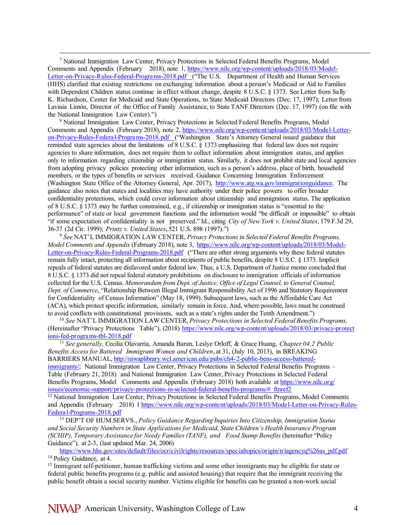<span id="page-3-0"></span><sup>7</sup> National Immigration Law Center, Privacy Protections in Selected Federal Benefits Programs, Model Comments and Appendix (February 2018), note 1, [https://www.nilc.org/wp-content/uploads/2018/03/Model-](https://www.nilc.org/wp-content/uploads/2018/03/Model-Letter-on-Privacy-Rules-Federal-Programs-2018.pdf)Letter-on-Privacy-Rules-Federal-Programs-2018.pdf ("The U.S. Department of Health and Human Services (HHS) clarified that existing restrictions on exchanging information about a person's Medicaid or Aid to Families with Dependent Children status continue in effect without change, despite 8 U.S.C. § 1373. See Letter from Sally K. Richardson, Center for Medicaid and State Operations, to State Medicaid Directors (Dec. 17, 1997); Letter from Lavinia Limón, Director of the Office of Family Assistance, to State TANF Directors (Dec. 17, 1997) (on file with the National Immigration Law Center).")

<span id="page-3-1"></span><sup>8</sup> National Immigration Law Center, Privacy Protections in Selected Federal Benefits Programs, Model Comments and Appendix (February 2018), note 2, [https://www.nilc.org/w p-content/uploads/2018/03/Mode l-Letter](https://www.nilc.org/wp-content/uploads/2018/03/Model-Letter-on-Privacy-Rules-Federal-Programs-2018.pdf)[on-Privacy-Rules-Federa l-Programs-2018.pdf \(](https://www.nilc.org/wp-content/uploads/2018/03/Model-Letter-on-Privacy-Rules-Federal-Programs-2018.pdf)"Washington State's Attorney General issued guidance that reminded state agencies about the limitations of 8 U.S.C. § 1373 emphasizing that federal law does not require agencies to share information, does not require them to collect information about immigration status, and applies only to information regarding citizenship or immigration status. Similarly, it does not prohibit state and local agencies from adopting privacy policies protecting other information, such as a person's address, place of birth, household members, or the types of benefits or services received. Guidance Concerning Immigration Enforcement (Washington State Office of the Attorney General, Apr. 2017), [http://www.atg.wa.gov/immigrationguidance.](http://www.atg.wa.gov/immigrationguidance) The guidance also notes that states and localities may have authority under their police powers to offer broader confidentiality protections, which could cover information about citizenship and immigration status. The application of 8 U.S.C. § 1373 may be further constrained, e.g., if citizenship or immigration status is "essential to the performance" of state or local government functions and the information would "be difficult or impossible" to obtain "if some expectation of confidentiality is not preserved." Id., citing *City of New York v. United States*, 179 F.3d 29,

<span id="page-3-2"></span><sup>9</sup> See NAT'L IMMIGRATION LAW CENTER, Privacy Protections in Selected Federal Benefits Programs, *Model Comments and Appendix* (February 2018), note 3, [https://www.nilc.org/wp-content/uploads/2018/03/Model-](https://www.nilc.org/wp-content/uploads/2018/03/Model-Letter-on-Privacy-Rules-Federal-Programs-2018.pdf)[Letter-on-Privacy-Rules-Federal-Programs-2018.pdf](https://www.nilc.org/wp-content/uploads/2018/03/Model-Letter-on-Privacy-Rules-Federal-Programs-2018.pdf) ("There are other strong arguments why these federal statutes remain fully intact, protecting all information about recipients of public benefits, despite 8 U.S.C. § 1373. Implicit repeals of federal statutes are disfavored under federal law. Thus, a U.S. Department of Justice memo concluded that 8 U.S.C. § 1373 did not repeal federal statutory prohibitions on disclosure to immigration officials of information collected for the U.S. Census. *Memorandum from Dept. of Justice, Office of Legal Counsel, to General Counsel, Dept. of Commerce*, "Relationship Between Illegal Immigrant Responsibility Act of 1996 and Statutory Requirement for Confidentiality of Census Information" (May 18, 1999). Subsequent laws, such as the Affordable Care Act (ACA), which protect specific information, similarly remain in force. And, where possible, laws must be construed to avoid conflicts with constitutional provisions, such as a state's rights under the Tenth Amendment.")

<span id="page-3-3"></span> $10$  See NAT'L IMMIGRATION LAW CENTER, Privacy Protections in Selected Federal Benefits Programs, (Hereinafter "Privacy Protections Table"), (2018) https://www.nilc.org/wp-content/uploads/2018/03/privacy-protect [ions-fed-programs-tbl- 2018.pdf](https://www.nilc.org/wp-content/uploads/2018/03/privacy-protections-fed-programs-tbl-2018.pdf)

<span id="page-3-4"></span><sup>11</sup> *See generally,* Cecilia Olavarria, Amanda Baran, Leslye Orloff, & Grace Huang, *Chapter 04.2 Public Benefits Access for Battered Immigrant Women and Children*, at 31, (July 10, 2013), in BREAKING BARRIERS MANUA[L, http://niwaplibrary.wcl.american.edu/pubs/ch4- 2-public-bens-access-battered](http://niwaplibrary.wcl.american.edu/pubs/ch4-2-public-bens-access-battered-immigrants/)[immigrants/;](http://niwaplibrary.wcl.american.edu/pubs/ch4-2-public-bens-access-battered-immigrants/) National Immigration Law Center, Privacy Protections in Selected Federal Benefits Programs – Table (February 21, 2018) and National Immigration Law Center, Privacy Protections in Selected Federal Benefits Programs, Model Comments and Appendix (February 2018) both available at [https://www.nilc.org/](https://www.nilc.org/issues/economic-support/privacy-protections-in-selected-federal-benefits-programs/#_ftnref2) [issues/economic-support/privacy- protections- in-selected-federal-benefits-programs/#\\_ftnref2](https://www.nilc.org/issues/economic-support/privacy-protections-in-selected-federal-benefits-programs/#_ftnref2)

<span id="page-3-5"></span><sup>12</sup> National Immigration Law Center, Privacy Protections in Selected Federal Benefits Programs, Model Comments and Appendix (February 2018) 1 [https://www.nilc.org/w p-content/uploads/2018/03/Mode l-Letter-on-Privacy-Rules-](https://www.nilc.org/wp-content/uploads/2018/03/Model-Letter-on-Privacy-Rules-Federal-Programs-2018.pdf)[Federa l-Programs- 2018.pdf](https://www.nilc.org/wp-content/uploads/2018/03/Model-Letter-on-Privacy-Rules-Federal-Programs-2018.pdf)

<span id="page-3-6"></span><sup>13</sup> DEP'T OF HUM.SERVS., *Policy Guidance Regarding Inquiries Into Citizenship, Immigration Status and Social Security Numbers in State Applications for Medicaid, State Children's Health Insurance Program (SCHIP), Temporary Assistance for Needy Families (TANF), and Food Stamp Benefits* (hereinafter "Policy Guidance")*,* at 2-3, (last updated Mar. 24, 2006)

[https://www.hhs.gov/sites/default/files/ocr/civilrights/resources/specialtopics/origin/triagencyq%26as\\_pdf.pdf](https://www.hhs.gov/sites/default/f%20iles/ocr/c%20ivi%20lr%20ights/resources%20/spec%20ialtopics/or%20igin/%20tr%20iagencyq%26as_pdf.pdf) <sup>14</sup> Policy Guidance, at 4.

<span id="page-3-8"></span><span id="page-3-7"></span><sup>15</sup> Immigrant self-petitioner, human trafficking victims and some other immigrants may be eligible for state or federal public benefits programs (e.g. public and assisted housing) that require that the immigrant receiving the public benefit obtain a social security number. Victims eligible for benefits can be granted a non-work social